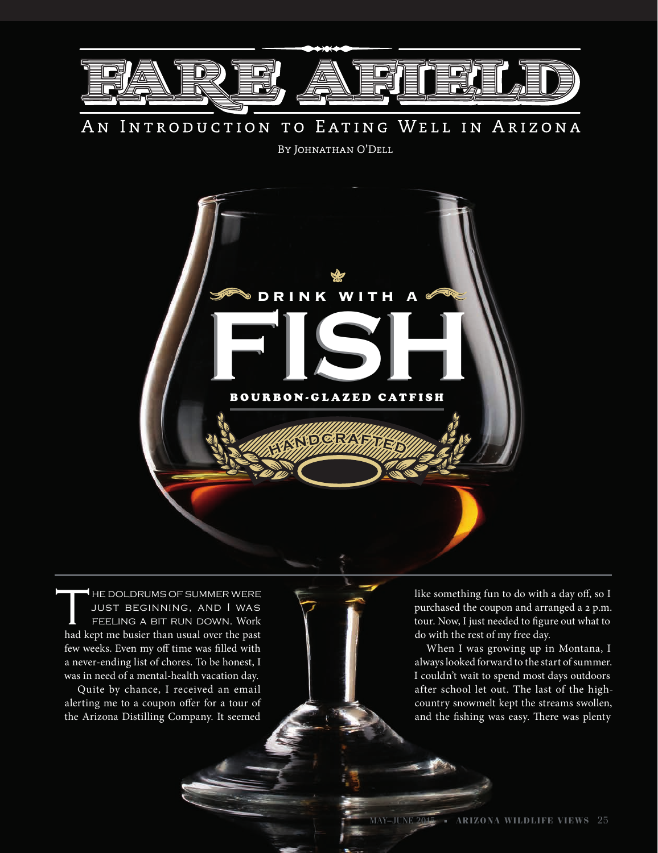

### TO EATING WELL IN ARIZONA AN INTRODUCTION

By Johnathan O'Dell



HE DOLDRUMS OF SUMMER WERE<br>JUST BEGINNING, AND I WAS<br>FEELING A BIT RUN DOWN. Work just beginning, and I was feeling a bit run down. Work had kept me busier than usual over the past few weeks. Even my off time was filled with a never-ending list of chores. To be honest, I was in need of a mental-health vacation day.

Quite by chance, I received an email alerting me to a coupon offer for a tour of the Arizona Distilling Company. It seemed

like something fun to do with a day off, so I purchased the coupon and arranged a 2 p.m. tour. Now, I just needed to figure out what to do with the rest of my free day.

When I was growing up in Montana, I always looked forward to the start of summer. I couldn't wait to spend most days outdoors after school let out. The last of the highcountry snowmelt kept the streams swollen, and the fishing was easy. There was plenty